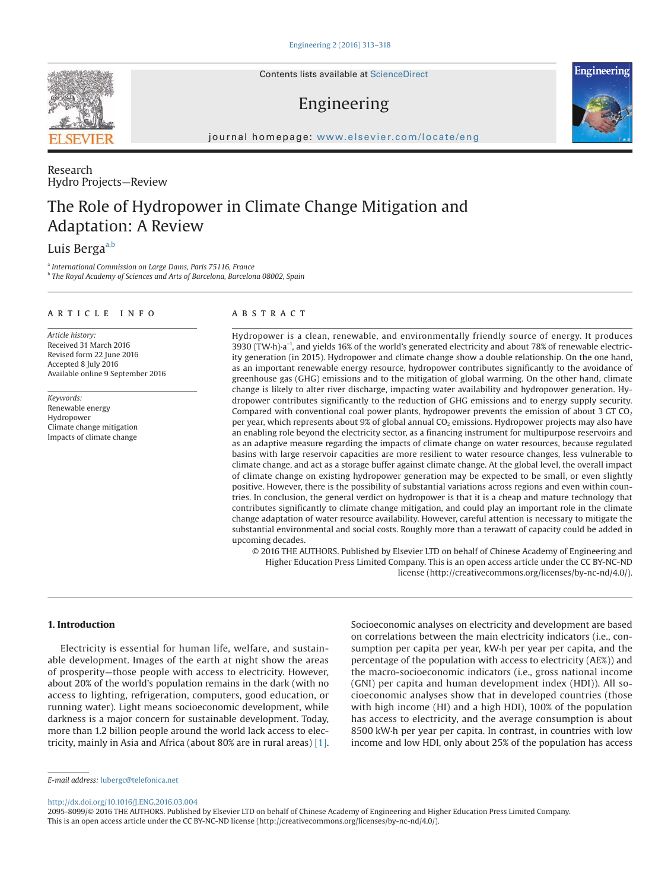Contents lists available at ScienceDirect

# Engineering

journal homepage: www.elsevier.com/locate/eng

Research Hydro Projects—Review

# The Role of Hydropower in Climate Change Mitigation and Adaptation: A Review

### Luis Berga<sup>a,b</sup>

a  *International Commission on Large Dams, Paris 75116, France*  $^{\rm b}$  The Royal Academy of Sciences and Arts of Barcelona, Barcelona 08002, Spain

#### A R T I C L E I N F O A B S T R A C T

*Article history:* Received 31 March 2016 Revised form 22 June 2016 Accepted 8 July 2016 Available online 9 September 2016

*Keywords:* Renewable energy Hydropower Climate change mitigation Impacts of climate change

Hydropower is a clean, renewable, and environmentally friendly source of energy. It produces 3930 (TW·h)·a<sup>-1</sup>, and yields 16% of the world's generated electricity and about 78% of renewable electricity generation (in 2015). Hydropower and climate change show a double relationship. On the one hand, as an important renewable energy resource, hydropower contributes significantly to the avoidance of greenhouse gas (GHG) emissions and to the mitigation of global warming. On the other hand, climate change is likely to alter river discharge, impacting water availability and hydropower generation. Hydropower contributes significantly to the reduction of GHG emissions and to energy supply security. Compared with conventional coal power plants, hydropower prevents the emission of about 3 GT  $CO<sub>2</sub>$ per year, which represents about 9% of global annual CO<sub>2</sub> emissions. Hydropower projects may also have an enabling role beyond the electricity sector, as a financing instrument for multipurpose reservoirs and as an adaptive measure regarding the impacts of climate change on water resources, because regulated basins with large reservoir capacities are more resilient to water resource changes, less vulnerable to climate change, and act as a storage buffer against climate change. At the global level, the overall impact of climate change on existing hydropower generation may be expected to be small, or even slightly positive. However, there is the possibility of substantial variations across regions and even within countries. In conclusion, the general verdict on hydropower is that it is a cheap and mature technology that contributes significantly to climate change mitigation, and could play an important role in the climate change adaptation of water resource availability. However, careful attention is necessary to mitigate the substantial environmental and social costs. Roughly more than a terawatt of capacity could be added in upcoming decades.

© 2016 THE AUTHORS. Published by Elsevier LTD on behalf of Chinese Academy of Engineering and Higher Education Press Limited Company. This is an open access article under the CC BY-NC-ND license (http://creativecommons.org/licenses/by-nc-nd/4.0/).

#### **1. Introduction**

Electricity is essential for human life, welfare, and sustainable development. Images of the earth at night show the areas of prosperity—those people with access to electricity. However, about 20% of the world's population remains in the dark (with no access to lighting, refrigeration, computers, good education, or running water). Light means socioeconomic development, while darkness is a major concern for sustainable development. Today, more than 1.2 billion people around the world lack access to electricity, mainly in Asia and Africa (about 80% are in rural areas) [1]. Socioeconomic analyses on electricity and development are based on correlations between the main electricity indicators (i.e., consumption per capita per year, kW·h per year per capita, and the percentage of the population with access to electricity (AE%)) and the macro-socioeconomic indicators (i.e., gross national income (GNI) per capita and human development index (HDI)). All socioeconomic analyses show that in developed countries (those with high income (HI) and a high HDI), 100% of the population has access to electricity, and the average consumption is about 8500 kW·h per year per capita. In contrast, in countries with low income and low HDI, only about 25% of the population has access

http://dx.doi.org/10.1016/J.ENG.2016.03.004

2095-8099/© 2016 THE AUTHORS. Published by Elsevier LTD on behalf of Chinese Academy of Engineering and Higher Education Press Limited Company. This is an open access article under the CC BY-NC-ND license (http://creativecommons.org/licenses/by-nc-nd/4.0/).





*E-mail address:* lubergc@telefonica.net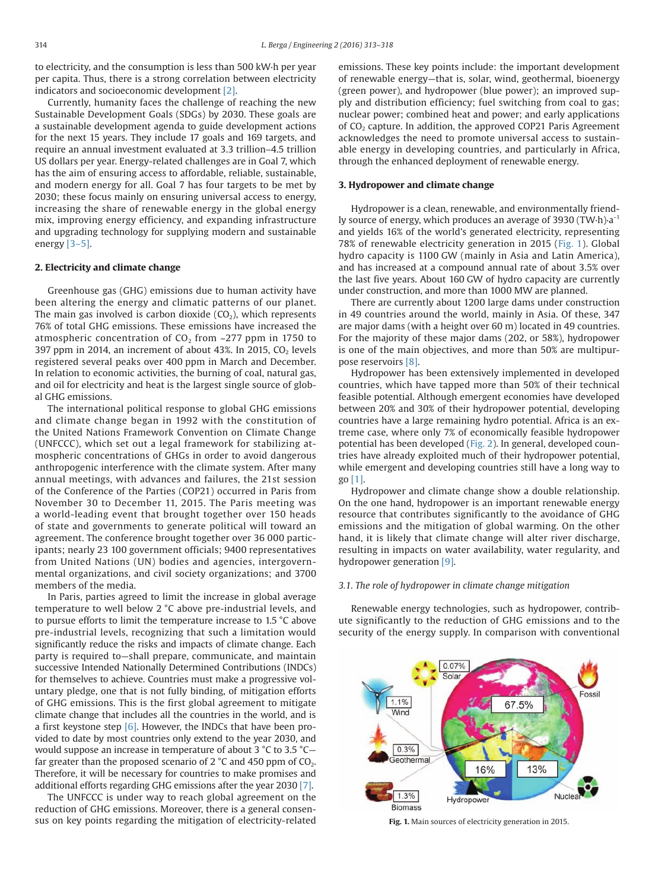to electricity, and the consumption is less than 500 kW·h per year per capita. Thus, there is a strong correlation between electricity indicators and socioeconomic development [2].

Currently, humanity faces the challenge of reaching the new Sustainable Development Goals (SDGs) by 2030. These goals are a sustainable development agenda to guide development actions for the next 15 years. They include 17 goals and 169 targets, and require an annual investment evaluated at 3.3 trillion–4.5 trillion US dollars per year. Energy-related challenges are in Goal 7, which has the aim of ensuring access to affordable, reliable, sustainable, and modern energy for all. Goal 7 has four targets to be met by 2030; these focus mainly on ensuring universal access to energy, increasing the share of renewable energy in the global energy mix, improving energy efficiency, and expanding infrastructure and upgrading technology for supplying modern and sustainable energy [3–5].

#### **2. Electricity and climate change**

Greenhouse gas (GHG) emissions due to human activity have been altering the energy and climatic patterns of our planet. The main gas involved is carbon dioxide  $(CO<sub>2</sub>)$ , which represents 76% of total GHG emissions. These emissions have increased the atmospheric concentration of  $CO<sub>2</sub>$  from  $\sim$ 277 ppm in 1750 to 397 ppm in 2014, an increment of about 43%. In 2015,  $CO<sub>2</sub>$  levels registered several peaks over 400 ppm in March and December. In relation to economic activities, the burning of coal, natural gas, and oil for electricity and heat is the largest single source of global GHG emissions.

The international political response to global GHG emissions and climate change began in 1992 with the constitution of the United Nations Framework Convention on Climate Change (UNFCCC), which set out a legal framework for stabilizing atmospheric concentrations of GHGs in order to avoid dangerous anthropogenic interference with the climate system. After many annual meetings, with advances and failures, the 21st session of the Conference of the Parties (COP21) occurred in Paris from November 30 to December 11, 2015. The Paris meeting was a world-leading event that brought together over 150 heads of state and governments to generate political will toward an agreement. The conference brought together over 36 000 participants; nearly 23 100 government officials; 9400 representatives from United Nations (UN) bodies and agencies, intergovernmental organizations, and civil society organizations; and 3700 members of the media.

In Paris, parties agreed to limit the increase in global average temperature to well below 2 °C above pre-industrial levels, and to pursue efforts to limit the temperature increase to 1.5 °C above pre-industrial levels, recognizing that such a limitation would significantly reduce the risks and impacts of climate change. Each party is required to—shall prepare, communicate, and maintain successive Intended Nationally Determined Contributions (INDCs) for themselves to achieve. Countries must make a progressive voluntary pledge, one that is not fully binding, of mitigation efforts of GHG emissions. This is the first global agreement to mitigate climate change that includes all the countries in the world, and is a first keystone step  $[6]$ . However, the INDCs that have been provided to date by most countries only extend to the year 2030, and would suppose an increase in temperature of about 3 °C to 3.5 °C far greater than the proposed scenario of 2  $^{\circ}$ C and 450 ppm of CO<sub>2</sub>. Therefore, it will be necessary for countries to make promises and additional efforts regarding GHG emissions after the year 2030 [7].

The UNFCCC is under way to reach global agreement on the reduction of GHG emissions. Moreover, there is a general consensus on key points regarding the mitigation of electricity-related

emissions. These key points include: the important development of renewable energy—that is, solar, wind, geothermal, bioenergy (green power), and hydropower (blue power); an improved supply and distribution efficiency; fuel switching from coal to gas; nuclear power; combined heat and power; and early applications of  $CO<sub>2</sub>$  capture. In addition, the approved COP21 Paris Agreement acknowledges the need to promote universal access to sustainable energy in developing countries, and particularly in Africa, through the enhanced deployment of renewable energy.

#### **3. Hydropower and climate change**

Hydropower is a clean, renewable, and environmentally friendly source of energy, which produces an average of 3930 (TW·h)·a<sup>-1</sup> and yields 16% of the world's generated electricity, representing 78% of renewable electricity generation in 2015 (Fig. 1). Global hydro capacity is 1100 GW (mainly in Asia and Latin America), and has increased at a compound annual rate of about 3.5% over the last five years. About 160 GW of hydro capacity are currently under construction, and more than 1000 MW are planned.

There are currently about 1200 large dams under construction in 49 countries around the world, mainly in Asia. Of these, 347 are major dams (with a height over 60 m) located in 49 countries. For the majority of these major dams (202, or 58%), hydropower is one of the main objectives, and more than 50% are multipurpose reservoirs [8].

Hydropower has been extensively implemented in developed countries, which have tapped more than 50% of their technical feasible potential. Although emergent economies have developed between 20% and 30% of their hydropower potential, developing countries have a large remaining hydro potential. Africa is an extreme case, where only 7% of economically feasible hydropower potential has been developed (Fig. 2). In general, developed countries have already exploited much of their hydropower potential, while emergent and developing countries still have a long way to go [1].

Hydropower and climate change show a double relationship. On the one hand, hydropower is an important renewable energy resource that contributes significantly to the avoidance of GHG emissions and the mitigation of global warming. On the other hand, it is likely that climate change will alter river discharge, resulting in impacts on water availability, water regularity, and hydropower generation [9].

### *3.1. The role of hydropower in climate change mitigation*

Renewable energy technologies, such as hydropower, contribute significantly to the reduction of GHG emissions and to the security of the energy supply. In comparison with conventional



**Fig. 1.** Main sources of electricity generation in 2015.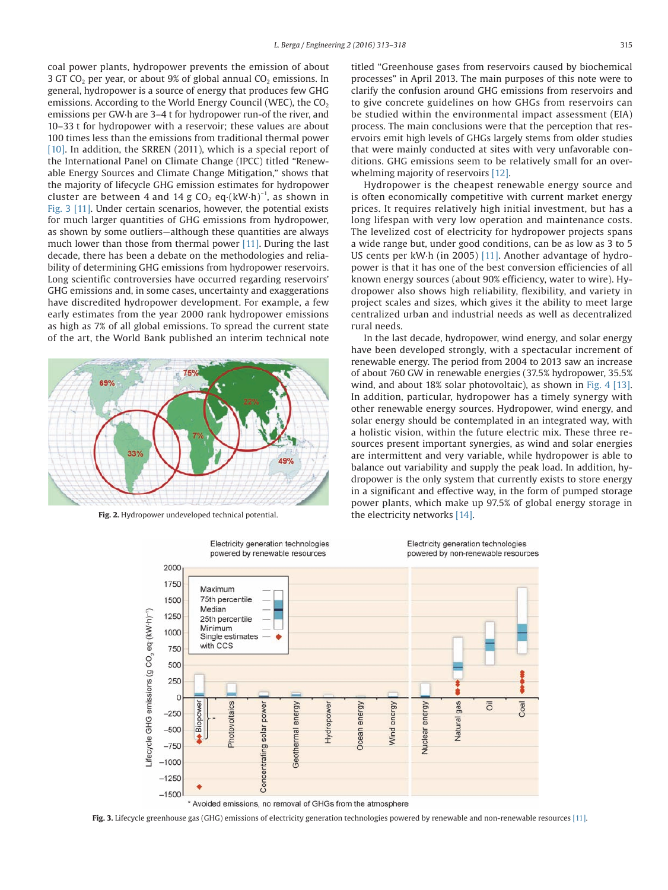coal power plants, hydropower prevents the emission of about 3 GT CO<sub>2</sub> per year, or about 9% of global annual CO<sub>2</sub> emissions. In general, hydropower is a source of energy that produces few GHG emissions. According to the World Energy Council (WEC), the  $CO<sub>2</sub>$ emissions per GW·h are 3–4 t for hydropower run-of the river, and 10–33 t for hydropower with a reservoir; these values are about 100 times less than the emissions from traditional thermal power [10]. In addition, the SRREN (2011), which is a special report of the International Panel on Climate Change (IPCC) titled "Renewable Energy Sources and Climate Change Mitigation," shows that the majority of lifecycle GHG emission estimates for hydropower cluster are between 4 and 14 g  $CO<sub>2</sub>$  eq $\cdot$ (kW $\cdot$ h)<sup>-1</sup>, as shown in Fig. 3 [11]. Under certain scenarios, however, the potential exists for much larger quantities of GHG emissions from hydropower, as shown by some outliers—although these quantities are always much lower than those from thermal power [11]. During the last decade, there has been a debate on the methodologies and reliability of determining GHG emissions from hydropower reservoirs. Long scientific controversies have occurred regarding reservoirs' GHG emissions and, in some cases, uncertainty and exaggerations have discredited hydropower development. For example, a few early estimates from the year 2000 rank hydropower emissions as high as 7% of all global emissions. To spread the current state of the art, the World Bank published an interim technical note



**Fig. 2.** Hydropower undeveloped technical potential.

titled "Greenhouse gases from reservoirs caused by biochemical processes" in April 2013. The main purposes of this note were to clarify the confusion around GHG emissions from reservoirs and to give concrete guidelines on how GHGs from reservoirs can be studied within the environmental impact assessment (EIA) process. The main conclusions were that the perception that reservoirs emit high levels of GHGs largely stems from older studies that were mainly conducted at sites with very unfavorable conditions. GHG emissions seem to be relatively small for an overwhelming majority of reservoirs [12].

Hydropower is the cheapest renewable energy source and is often economically competitive with current market energy prices. It requires relatively high initial investment, but has a long lifespan with very low operation and maintenance costs. The levelized cost of electricity for hydropower projects spans a wide range but, under good conditions, can be as low as 3 to 5 US cents per kW·h (in 2005) [11]. Another advantage of hydropower is that it has one of the best conversion efficiencies of all known energy sources (about 90% efficiency, water to wire). Hydropower also shows high reliability, flexibility, and variety in project scales and sizes, which gives it the ability to meet large centralized urban and industrial needs as well as decentralized rural needs.

In the last decade, hydropower, wind energy, and solar energy have been developed strongly, with a spectacular increment of renewable energy. The period from 2004 to 2013 saw an increase of about 760 GW in renewable energies (37.5% hydropower, 35.5% wind, and about 18% solar photovoltaic), as shown in Fig. 4 [13]. In addition, particular, hydropower has a timely synergy with other renewable energy sources. Hydropower, wind energy, and solar energy should be contemplated in an integrated way, with a holistic vision, within the future electric mix. These three resources present important synergies, as wind and solar energies are intermittent and very variable, while hydropower is able to balance out variability and supply the peak load. In addition, hydropower is the only system that currently exists to store energy in a significant and effective way, in the form of pumped storage power plants, which make up 97.5% of global energy storage in the electricity networks [14].



Fig. 3. Lifecycle greenhouse gas (GHG) emissions of electricity generation technologies powered by renewable and non-renewable resources [11].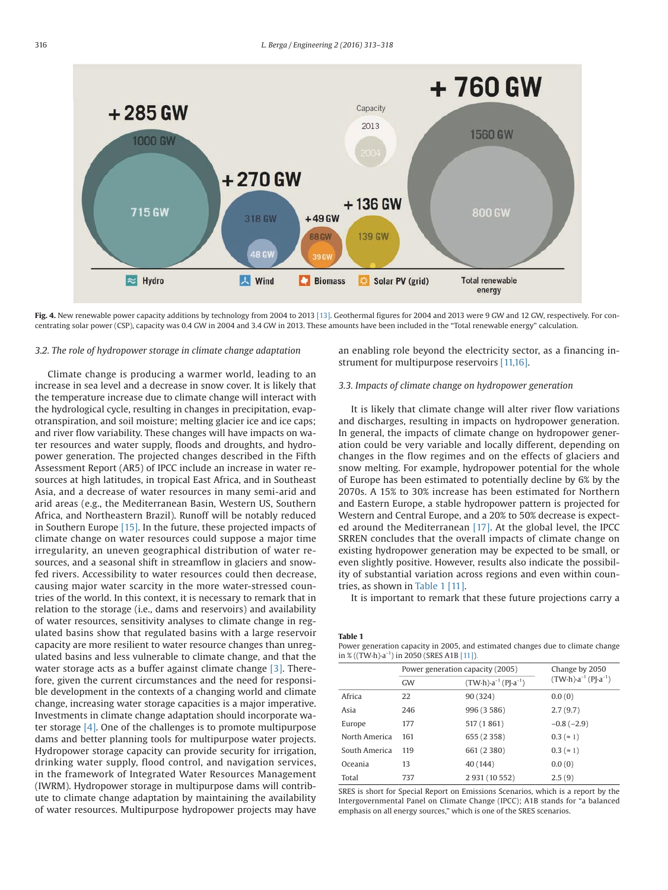

Fig. 4. New renewable power capacity additions by technology from 2004 to 2013 [13]. Geothermal figures for 2004 and 2013 were 9 GW and 12 GW, respectively. For concentrating solar power (CSP), capacity was 0.4 GW in 2004 and 3.4 GW in 2013. These amounts have been included in the "Total renewable energy" calculation.

#### *3.2. The role of hydropower storage in climate change adaptation*

Climate change is producing a warmer world, leading to an increase in sea level and a decrease in snow cover. It is likely that the temperature increase due to climate change will interact with the hydrological cycle, resulting in changes in precipitation, evapotranspiration, and soil moisture; melting glacier ice and ice caps; and river flow variability. These changes will have impacts on water resources and water supply, floods and droughts, and hydropower generation. The projected changes described in the Fifth Assessment Report (AR5) of IPCC include an increase in water resources at high latitudes, in tropical East Africa, and in Southeast Asia, and a decrease of water resources in many semi-arid and arid areas (e.g., the Mediterranean Basin, Western US, Southern Africa, and Northeastern Brazil). Runoff will be notably reduced in Southern Europe [15]. In the future, these projected impacts of climate change on water resources could suppose a major time irregularity, an uneven geographical distribution of water resources, and a seasonal shift in streamflow in glaciers and snowfed rivers. Accessibility to water resources could then decrease, causing major water scarcity in the more water-stressed countries of the world. In this context, it is necessary to remark that in relation to the storage (i.e., dams and reservoirs) and availability of water resources, sensitivity analyses to climate change in regulated basins show that regulated basins with a large reservoir capacity are more resilient to water resource changes than unregulated basins and less vulnerable to climate change, and that the water storage acts as a buffer against climate change [3]. Therefore, given the current circumstances and the need for responsible development in the contexts of a changing world and climate change, increasing water storage capacities is a major imperative. Investments in climate change adaptation should incorporate water storage [4]. One of the challenges is to promote multipurpose dams and better planning tools for multipurpose water projects. Hydropower storage capacity can provide security for irrigation, drinking water supply, flood control, and navigation services, in the framework of Integrated Water Resources Management (IWRM). Hydropower storage in multipurpose dams will contribute to climate change adaptation by maintaining the availability of water resources. Multipurpose hydropower projects may have

an enabling role beyond the electricity sector, as a financing instrument for multipurpose reservoirs [11,16].

#### *3.3. Impacts of climate change on hydropower generation*

It is likely that climate change will alter river flow variations and discharges, resulting in impacts on hydropower generation. In general, the impacts of climate change on hydropower generation could be very variable and locally different, depending on changes in the flow regimes and on the effects of glaciers and snow melting. For example, hydropower potential for the whole of Europe has been estimated to potentially decline by 6% by the 2070s. A 15% to 30% increase has been estimated for Northern and Eastern Europe, a stable hydropower pattern is projected for Western and Central Europe, and a 20% to 50% decrease is expected around the Mediterranean [17]. At the global level, the IPCC SRREN concludes that the overall impacts of climate change on existing hydropower generation may be expected to be small, or even slightly positive. However, results also indicate the possibility of substantial variation across regions and even within countries, as shown in Table 1 [11].

It is important to remark that these future projections carry a

**Table 1**

Power generation capacity in 2005, and estimated changes due to climate change in % ((TW·h)·a<sup>-1</sup>) in 2050 (SRES A1B [11]).

|               | Power generation capacity (2005) |                                           | Change by 2050                            |
|---------------|----------------------------------|-------------------------------------------|-------------------------------------------|
|               | GW                               | $(TW\cdot h)\cdot a^{-1} (P\cdot a^{-1})$ | $(TW\cdot h)\cdot a^{-1} (P\cdot a^{-1})$ |
| Africa        | 22                               | 90 (324)                                  | 0.0(0)                                    |
| Asia          | 246                              | 996 (3 586)                               | 2.7(9.7)                                  |
| Europe        | 177                              | 517 (1861)                                | $-0.8(-2.9)$                              |
| North America | 161                              | 655 (2 358)                               | $0.3 (= 1)$                               |
| South America | 119                              | 661 (2 380)                               | $0.3 (= 1)$                               |
| Oceania       | 13                               | 40 (144)                                  | 0.0(0)                                    |
| Total         | 737                              | 2 931 (10 552)                            | 2.5(9)                                    |

SRES is short for Special Report on Emissions Scenarios, which is a report by the Intergovernmental Panel on Climate Change (IPCC); A1B stands for "a balanced emphasis on all energy sources," which is one of the SRES scenarios.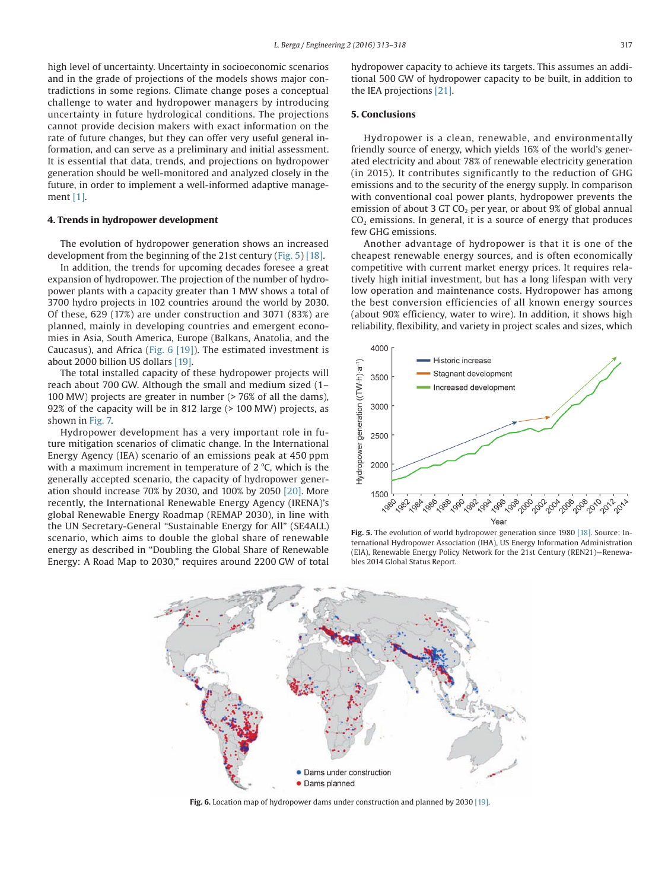high level of uncertainty. Uncertainty in socioeconomic scenarios and in the grade of projections of the models shows major contradictions in some regions. Climate change poses a conceptual challenge to water and hydropower managers by introducing uncertainty in future hydrological conditions. The projections cannot provide decision makers with exact information on the rate of future changes, but they can offer very useful general information, and can serve as a preliminary and initial assessment. It is essential that data, trends, and projections on hydropower generation should be well-monitored and analyzed closely in the future, in order to implement a well-informed adaptive management [1].

### **4. Trends in hydropower development**

The evolution of hydropower generation shows an increased development from the beginning of the 21st century (Fig. 5) [18].

In addition, the trends for upcoming decades foresee a great expansion of hydropower. The projection of the number of hydropower plants with a capacity greater than 1 MW shows a total of 3700 hydro projects in 102 countries around the world by 2030. Of these, 629 (17%) are under construction and 3071 (83%) are planned, mainly in developing countries and emergent economies in Asia, South America, Europe (Balkans, Anatolia, and the Caucasus), and Africa (Fig. 6 [19]). The estimated investment is about 2000 billion US dollars [19].

The total installed capacity of these hydropower projects will reach about 700 GW. Although the small and medium sized (1– 100 MW) projects are greater in number (> 76% of all the dams), 92% of the capacity will be in 812 large (> 100 MW) projects, as shown in Fig. 7.

Hydropower development has a very important role in future mitigation scenarios of climatic change. In the International Energy Agency (IEA) scenario of an emissions peak at 450 ppm with a maximum increment in temperature of  $2^{\circ}$ C, which is the generally accepted scenario, the capacity of hydropower generation should increase 70% by 2030, and 100% by 2050 [20]. More recently, the International Renewable Energy Agency (IRENA)'s global Renewable Energy Roadmap (REMAP 2030), in line with the UN Secretary-General "Sustainable Energy for All" (SE4ALL) scenario, which aims to double the global share of renewable energy as described in "Doubling the Global Share of Renewable Energy: A Road Map to 2030," requires around 2200 GW of total

hydropower capacity to achieve its targets. This assumes an additional 500 GW of hydropower capacity to be built, in addition to the IEA projections [21].

#### **5. Conclusions**

Hydropower is a clean, renewable, and environmentally friendly source of energy, which yields 16% of the world's generated electricity and about 78% of renewable electricity generation (in 2015). It contributes significantly to the reduction of GHG emissions and to the security of the energy supply. In comparison with conventional coal power plants, hydropower prevents the emission of about 3 GT CO<sub>2</sub> per year, or about 9% of global annual  $CO<sub>2</sub>$  emissions. In general, it is a source of energy that produces few GHG emissions.

Another advantage of hydropower is that it is one of the cheapest renewable energy sources, and is often economically competitive with current market energy prices. It requires relatively high initial investment, but has a long lifespan with very low operation and maintenance costs. Hydropower has among the best conversion efficiencies of all known energy sources (about 90% efficiency, water to wire). In addition, it shows high reliability, flexibility, and variety in project scales and sizes, which



Fig. 5. The evolution of world hydropower generation since 1980 [18]. Source: International Hydropower Association (IHA), US Energy Information Administration (EIA), Renewable Energy Policy Network for the 21st Century (REN21)—Renewables 2014 Global Status Report.



Fig. 6. Location map of hydropower dams under construction and planned by 2030 [19].